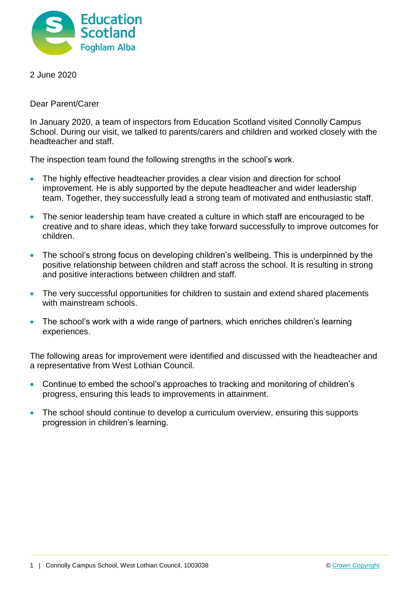

2 June 2020

Dear Parent/Carer

In January 2020, a team of inspectors from Education Scotland visited Connolly Campus School. During our visit, we talked to parents/carers and children and worked closely with the headteacher and staff.

The inspection team found the following strengths in the school's work.

- The highly effective headteacher provides a clear vision and direction for school improvement. He is ably supported by the depute headteacher and wider leadership team. Together, they successfully lead a strong team of motivated and enthusiastic staff.
- The senior leadership team have created a culture in which staff are encouraged to be creative and to share ideas, which they take forward successfully to improve outcomes for children.
- The school's strong focus on developing children's wellbeing. This is underpinned by the positive relationship between children and staff across the school. It is resulting in strong and positive interactions between children and staff.
- The very successful opportunities for children to sustain and extend shared placements with mainstream schools.
- The school's work with a wide range of partners, which enriches children's learning experiences.

The following areas for improvement were identified and discussed with the headteacher and a representative from West Lothian Council.

- Continue to embed the school's approaches to tracking and monitoring of children's progress, ensuring this leads to improvements in attainment.
- The school should continue to develop a curriculum overview, ensuring this supports progression in children's learning.